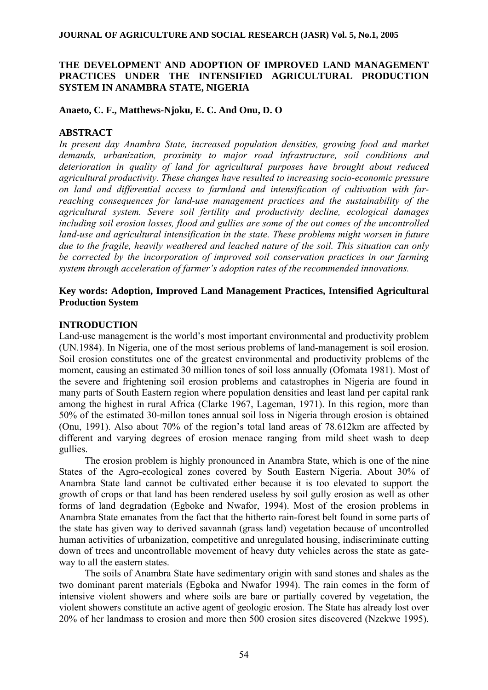## **THE DEVELOPMENT AND ADOPTION OF IMPROVED LAND MANAGEMENT PRACTICES UNDER THE INTENSIFIED AGRICULTURAL PRODUCTION SYSTEM IN ANAMBRA STATE, NIGERIA**

### **Anaeto, C. F., Matthews-Njoku, E. C. And Onu, D. O**

## **ABSTRACT**

*In present day Anambra State, increased population densities, growing food and market demands, urbanization, proximity to major road infrastructure, soil conditions and deterioration in quality of land for agricultural purposes have brought about reduced agricultural productivity. These changes have resulted to increasing socio-economic pressure on land and differential access to farmland and intensification of cultivation with farreaching consequences for land-use management practices and the sustainability of the agricultural system. Severe soil fertility and productivity decline, ecological damages including soil erosion losses, flood and gullies are some of the out comes of the uncontrolled land-use and agricultural intensification in the state. These problems might worsen in future due to the fragile, heavily weathered and leached nature of the soil. This situation can only be corrected by the incorporation of improved soil conservation practices in our farming system through acceleration of farmer's adoption rates of the recommended innovations.* 

#### **Key words: Adoption, Improved Land Management Practices, Intensified Agricultural Production System**

#### **INTRODUCTION**

Land-use management is the world's most important environmental and productivity problem (UN.1984). In Nigeria, one of the most serious problems of land-management is soil erosion. Soil erosion constitutes one of the greatest environmental and productivity problems of the moment, causing an estimated 30 million tones of soil loss annually (Ofomata 1981). Most of the severe and frightening soil erosion problems and catastrophes in Nigeria are found in many parts of South Eastern region where population densities and least land per capital rank among the highest in rural Africa (Clarke 1967, Lageman, 1971). In this region, more than 50% of the estimated 30-millon tones annual soil loss in Nigeria through erosion is obtained (Onu, 1991). Also about 70% of the region's total land areas of 78.612km are affected by different and varying degrees of erosion menace ranging from mild sheet wash to deep gullies.

The erosion problem is highly pronounced in Anambra State, which is one of the nine States of the Agro-ecological zones covered by South Eastern Nigeria. About 30% of Anambra State land cannot be cultivated either because it is too elevated to support the growth of crops or that land has been rendered useless by soil gully erosion as well as other forms of land degradation (Egboke and Nwafor, 1994). Most of the erosion problems in Anambra State emanates from the fact that the hitherto rain-forest belt found in some parts of the state has given way to derived savannah (grass land) vegetation because of uncontrolled human activities of urbanization, competitive and unregulated housing, indiscriminate cutting down of trees and uncontrollable movement of heavy duty vehicles across the state as gateway to all the eastern states.

The soils of Anambra State have sedimentary origin with sand stones and shales as the two dominant parent materials (Egboka and Nwafor 1994). The rain comes in the form of intensive violent showers and where soils are bare or partially covered by vegetation, the violent showers constitute an active agent of geologic erosion. The State has already lost over 20% of her landmass to erosion and more then 500 erosion sites discovered (Nzekwe 1995).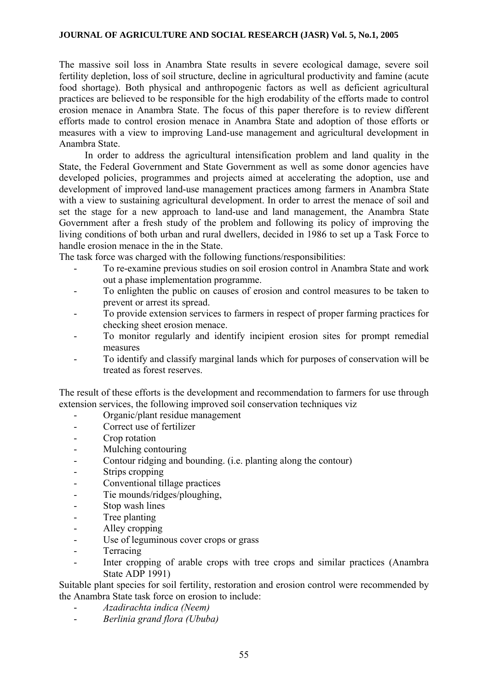The massive soil loss in Anambra State results in severe ecological damage, severe soil fertility depletion, loss of soil structure, decline in agricultural productivity and famine (acute food shortage). Both physical and anthropogenic factors as well as deficient agricultural practices are believed to be responsible for the high erodability of the efforts made to control erosion menace in Anambra State. The focus of this paper therefore is to review different efforts made to control erosion menace in Anambra State and adoption of those efforts or measures with a view to improving Land-use management and agricultural development in Anambra State.

In order to address the agricultural intensification problem and land quality in the State, the Federal Government and State Government as well as some donor agencies have developed policies, programmes and projects aimed at accelerating the adoption, use and development of improved land-use management practices among farmers in Anambra State with a view to sustaining agricultural development. In order to arrest the menace of soil and set the stage for a new approach to land-use and land management, the Anambra State Government after a fresh study of the problem and following its policy of improving the living conditions of both urban and rural dwellers, decided in 1986 to set up a Task Force to handle erosion menace in the in the State.

The task force was charged with the following functions/responsibilities:

- To re-examine previous studies on soil erosion control in Anambra State and work out a phase implementation programme.
- To enlighten the public on causes of erosion and control measures to be taken to prevent or arrest its spread.
- To provide extension services to farmers in respect of proper farming practices for checking sheet erosion menace.
- To monitor regularly and identify incipient erosion sites for prompt remedial measures
- To identify and classify marginal lands which for purposes of conservation will be treated as forest reserves.

The result of these efforts is the development and recommendation to farmers for use through extension services, the following improved soil conservation techniques viz

- Organic/plant residue management
- Correct use of fertilizer
- Crop rotation
- Mulching contouring
- Contour ridging and bounding. (i.e. planting along the contour)
- Strips cropping
- Conventional tillage practices
- Tie mounds/ridges/ploughing,
- Stop wash lines
- Tree planting
- Alley cropping
- Use of leguminous cover crops or grass
- Terracing
- Inter cropping of arable crops with tree crops and similar practices (Anambra State ADP 1991)

Suitable plant species for soil fertility, restoration and erosion control were recommended by the Anambra State task force on erosion to include:

- *Azadirachta indica (Neem)*
- *Berlinia grand flora (Ububa)*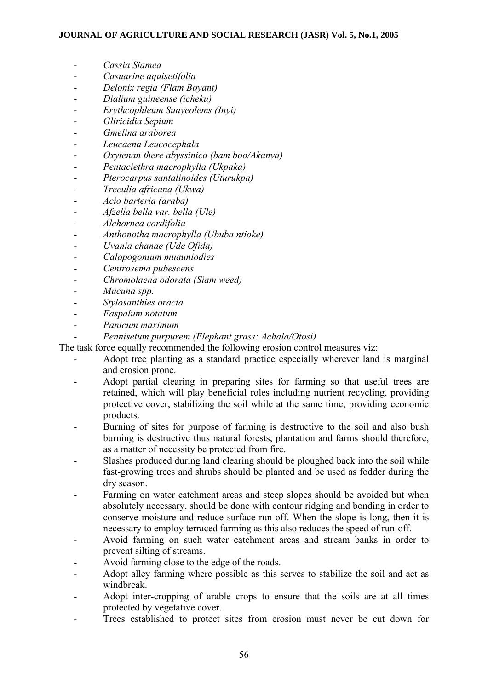- *Cassia Siamea*
- *Casuarine aquisetifolia*
- *Delonix regia (Flam Boyant)*
- *Dialium guineense (icheku)*
- *Erythcophleum Suayeolems (Inyi)*
- *Gliricidia Sepium*
- *Gmelina araborea*
- *Leucaena Leucocephala*
- *Oxytenan there abyssinica (bam boo/Akanya)*
- *Pentaciethra macrophylla (Ukpaka)*
- *Pterocarpus santalinoides (Uturukpa)*
- *Treculia africana (Ukwa)*
- *Acio barteria (araba)*
- *Afzelia bella var. bella (Ule)*
- *Alchornea cordifolia*
- *Anthonotha macrophylla (Ububa ntioke)*
- *Uvania chanae (Ude Ofida)*
- *Calopogonium muauniodies*
- *Centrosema pubescens*
- *Chromolaena odorata (Siam weed)*
- *Mucuna spp.*
- *Stylosanthies oracta*
- *Faspalum notatum*
- *Panicum maximum* 
	- *Pennisetum purpurem (Elephant grass: Achala/Otosi)*

The task force equally recommended the following erosion control measures viz:

- Adopt tree planting as a standard practice especially wherever land is marginal and erosion prone.
- Adopt partial clearing in preparing sites for farming so that useful trees are retained, which will play beneficial roles including nutrient recycling, providing protective cover, stabilizing the soil while at the same time, providing economic products.
- Burning of sites for purpose of farming is destructive to the soil and also bush burning is destructive thus natural forests, plantation and farms should therefore, as a matter of necessity be protected from fire.
- Slashes produced during land clearing should be ploughed back into the soil while fast-growing trees and shrubs should be planted and be used as fodder during the dry season.
- Farming on water catchment areas and steep slopes should be avoided but when absolutely necessary, should be done with contour ridging and bonding in order to conserve moisture and reduce surface run-off. When the slope is long, then it is necessary to employ terraced farming as this also reduces the speed of run-off.
- Avoid farming on such water catchment areas and stream banks in order to prevent silting of streams.
- Avoid farming close to the edge of the roads.
- Adopt alley farming where possible as this serves to stabilize the soil and act as windbreak.
- Adopt inter-cropping of arable crops to ensure that the soils are at all times protected by vegetative cover.
- Trees established to protect sites from erosion must never be cut down for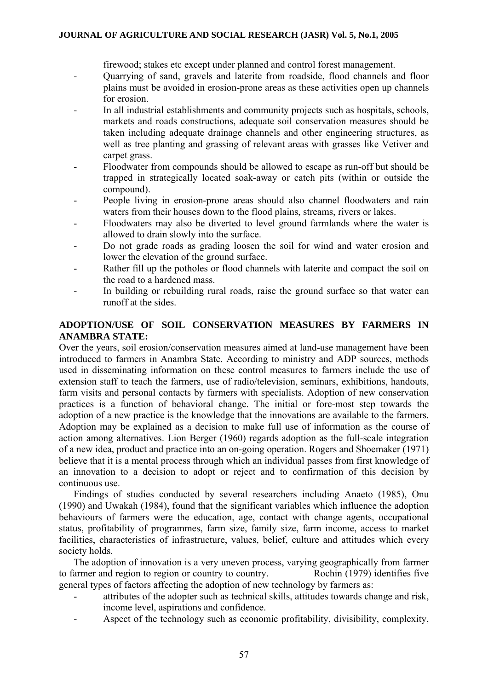firewood; stakes etc except under planned and control forest management.

- Quarrying of sand, gravels and laterite from roadside, flood channels and floor plains must be avoided in erosion-prone areas as these activities open up channels for erosion.
- In all industrial establishments and community projects such as hospitals, schools, markets and roads constructions, adequate soil conservation measures should be taken including adequate drainage channels and other engineering structures, as well as tree planting and grassing of relevant areas with grasses like Vetiver and carpet grass.
- Floodwater from compounds should be allowed to escape as run-off but should be trapped in strategically located soak-away or catch pits (within or outside the compound).
- People living in erosion-prone areas should also channel floodwaters and rain waters from their houses down to the flood plains, streams, rivers or lakes.
- Floodwaters may also be diverted to level ground farmlands where the water is allowed to drain slowly into the surface.
- Do not grade roads as grading loosen the soil for wind and water erosion and lower the elevation of the ground surface.
- Rather fill up the potholes or flood channels with laterite and compact the soil on the road to a hardened mass.
- In building or rebuilding rural roads, raise the ground surface so that water can runoff at the sides.

## **ADOPTION/USE OF SOIL CONSERVATION MEASURES BY FARMERS IN ANAMBRA STATE:**

Over the years, soil erosion/conservation measures aimed at land-use management have been introduced to farmers in Anambra State. According to ministry and ADP sources, methods used in disseminating information on these control measures to farmers include the use of extension staff to teach the farmers, use of radio/television, seminars, exhibitions, handouts, farm visits and personal contacts by farmers with specialists. Adoption of new conservation practices is a function of behavioral change. The initial or fore-most step towards the adoption of a new practice is the knowledge that the innovations are available to the farmers. Adoption may be explained as a decision to make full use of information as the course of action among alternatives. Lion Berger (1960) regards adoption as the full-scale integration of a new idea, product and practice into an on-going operation. Rogers and Shoemaker (1971) believe that it is a mental process through which an individual passes from first knowledge of an innovation to a decision to adopt or reject and to confirmation of this decision by continuous use.

Findings of studies conducted by several researchers including Anaeto (1985), Onu (1990) and Uwakah (1984), found that the significant variables which influence the adoption behaviours of farmers were the education, age, contact with change agents, occupational status, profitability of programmes, farm size, family size, farm income, access to market facilities, characteristics of infrastructure, values, belief, culture and attitudes which every society holds.

The adoption of innovation is a very uneven process, varying geographically from farmer to farmer and region to region or country to country. Rochin (1979) identifies five general types of factors affecting the adoption of new technology by farmers as:

- attributes of the adopter such as technical skills, attitudes towards change and risk, income level, aspirations and confidence.
- Aspect of the technology such as economic profitability, divisibility, complexity,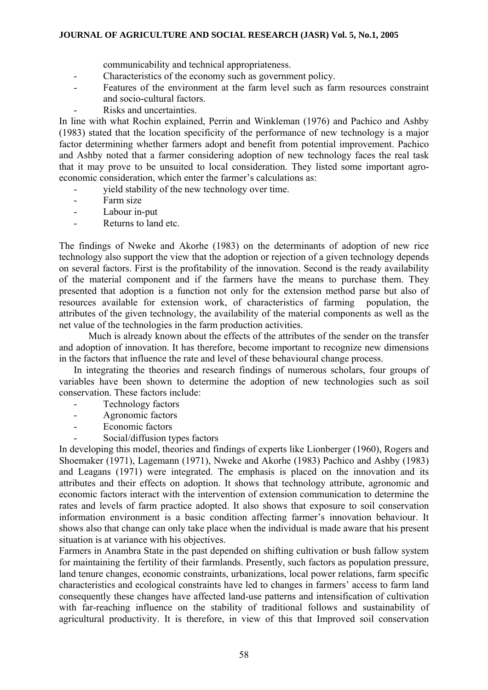communicability and technical appropriateness.

- Characteristics of the economy such as government policy.
- Features of the environment at the farm level such as farm resources constraint and socio-cultural factors.
- Risks and uncertainties.

In line with what Rochin explained, Perrin and Winkleman (1976) and Pachico and Ashby (1983) stated that the location specificity of the performance of new technology is a major factor determining whether farmers adopt and benefit from potential improvement. Pachico and Ashby noted that a farmer considering adoption of new technology faces the real task that it may prove to be unsuited to local consideration. They listed some important agroeconomic consideration, which enter the farmer's calculations as:

- vield stability of the new technology over time.
- Farm size
- Labour in-put
- Returns to land etc.

The findings of Nweke and Akorhe (1983) on the determinants of adoption of new rice technology also support the view that the adoption or rejection of a given technology depends on several factors. First is the profitability of the innovation. Second is the ready availability of the material component and if the farmers have the means to purchase them. They presented that adoption is a function not only for the extension method parse but also of resources available for extension work, of characteristics of farming population, the attributes of the given technology, the availability of the material components as well as the net value of the technologies in the farm production activities.

Much is already known about the effects of the attributes of the sender on the transfer and adoption of innovation. It has therefore, become important to recognize new dimensions in the factors that influence the rate and level of these behavioural change process.

In integrating the theories and research findings of numerous scholars, four groups of variables have been shown to determine the adoption of new technologies such as soil conservation. These factors include:

- Technology factors
- Agronomic factors
- Economic factors
- Social/diffusion types factors

In developing this model, theories and findings of experts like Lionberger (1960), Rogers and Shoemaker (1971), Lagemann (1971), Nweke and Akorhe (1983) Pachico and Ashby (1983) and Leagans (1971) were integrated. The emphasis is placed on the innovation and its attributes and their effects on adoption. It shows that technology attribute, agronomic and economic factors interact with the intervention of extension communication to determine the rates and levels of farm practice adopted. It also shows that exposure to soil conservation information environment is a basic condition affecting farmer's innovation behaviour. It shows also that change can only take place when the individual is made aware that his present situation is at variance with his objectives.

Farmers in Anambra State in the past depended on shifting cultivation or bush fallow system for maintaining the fertility of their farmlands. Presently, such factors as population pressure, land tenure changes, economic constraints, urbanizations, local power relations, farm specific characteristics and ecological constraints have led to changes in farmers' access to farm land consequently these changes have affected land-use patterns and intensification of cultivation with far-reaching influence on the stability of traditional follows and sustainability of agricultural productivity. It is therefore, in view of this that Improved soil conservation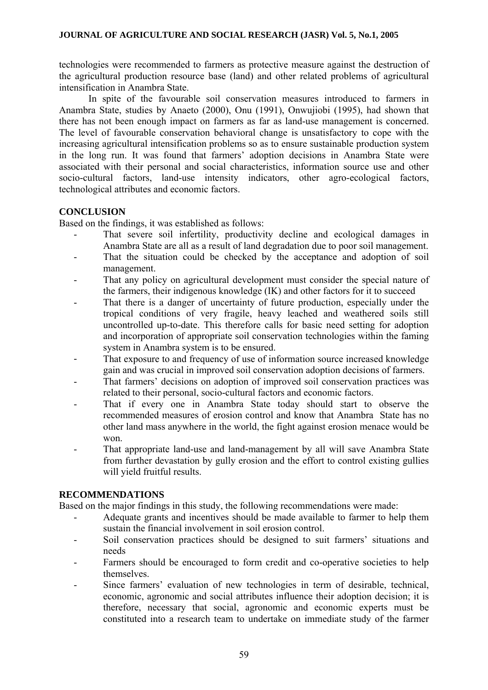technologies were recommended to farmers as protective measure against the destruction of the agricultural production resource base (land) and other related problems of agricultural intensification in Anambra State.

In spite of the favourable soil conservation measures introduced to farmers in Anambra State, studies by Anaeto (2000), Onu (1991), Onwujiobi (1995), had shown that there has not been enough impact on farmers as far as land-use management is concerned. The level of favourable conservation behavioral change is unsatisfactory to cope with the increasing agricultural intensification problems so as to ensure sustainable production system in the long run. It was found that farmers' adoption decisions in Anambra State were associated with their personal and social characteristics, information source use and other socio-cultural factors, land-use intensity indicators, other agro-ecological factors, technological attributes and economic factors.

# **CONCLUSION**

Based on the findings, it was established as follows:

- That severe soil infertility, productivity decline and ecological damages in Anambra State are all as a result of land degradation due to poor soil management.
- That the situation could be checked by the acceptance and adoption of soil management.
- That any policy on agricultural development must consider the special nature of the farmers, their indigenous knowledge (IK) and other factors for it to succeed
- That there is a danger of uncertainty of future production, especially under the tropical conditions of very fragile, heavy leached and weathered soils still uncontrolled up-to-date. This therefore calls for basic need setting for adoption and incorporation of appropriate soil conservation technologies within the faming system in Anambra system is to be ensured.
- That exposure to and frequency of use of information source increased knowledge gain and was crucial in improved soil conservation adoption decisions of farmers.
- That farmers' decisions on adoption of improved soil conservation practices was related to their personal, socio-cultural factors and economic factors.
- That if every one in Anambra State today should start to observe the recommended measures of erosion control and know that Anambra State has no other land mass anywhere in the world, the fight against erosion menace would be won.
- That appropriate land-use and land-management by all will save Anambra State from further devastation by gully erosion and the effort to control existing gullies will yield fruitful results.

# **RECOMMENDATIONS**

Based on the major findings in this study, the following recommendations were made:

- Adequate grants and incentives should be made available to farmer to help them sustain the financial involvement in soil erosion control.
- Soil conservation practices should be designed to suit farmers' situations and needs
- Farmers should be encouraged to form credit and co-operative societies to help themselves.
- Since farmers' evaluation of new technologies in term of desirable, technical, economic, agronomic and social attributes influence their adoption decision; it is therefore, necessary that social, agronomic and economic experts must be constituted into a research team to undertake on immediate study of the farmer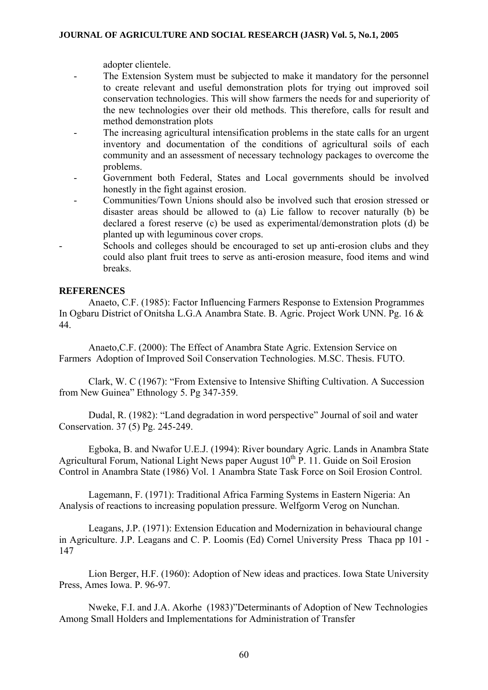adopter clientele.

- The Extension System must be subjected to make it mandatory for the personnel to create relevant and useful demonstration plots for trying out improved soil conservation technologies. This will show farmers the needs for and superiority of the new technologies over their old methods. This therefore, calls for result and method demonstration plots
- The increasing agricultural intensification problems in the state calls for an urgent inventory and documentation of the conditions of agricultural soils of each community and an assessment of necessary technology packages to overcome the problems.
- Government both Federal, States and Local governments should be involved honestly in the fight against erosion.
- Communities/Town Unions should also be involved such that erosion stressed or disaster areas should be allowed to (a) Lie fallow to recover naturally (b) be declared a forest reserve (c) be used as experimental/demonstration plots (d) be planted up with leguminous cover crops.
	- Schools and colleges should be encouraged to set up anti-erosion clubs and they could also plant fruit trees to serve as anti-erosion measure, food items and wind breaks.

#### **REFERENCES**

Anaeto, C.F. (1985): Factor Influencing Farmers Response to Extension Programmes In Ogbaru District of Onitsha L.G.A Anambra State. B. Agric. Project Work UNN. Pg. 16 & 44.

Anaeto,C.F. (2000): The Effect of Anambra State Agric. Extension Service on Farmers Adoption of Improved Soil Conservation Technologies. M.SC. Thesis. FUTO.

Clark, W. C (1967): "From Extensive to Intensive Shifting Cultivation. A Succession from New Guinea" Ethnology 5. Pg 347-359.

Dudal, R. (1982): "Land degradation in word perspective" Journal of soil and water Conservation. 37 (5) Pg. 245-249.

Egboka, B. and Nwafor U.E.J. (1994): River boundary Agric. Lands in Anambra State Agricultural Forum, National Light News paper August  $10^{th}$  P. 11. Guide on Soil Erosion Control in Anambra State (1986) Vol. 1 Anambra State Task Force on Soil Erosion Control.

Lagemann, F. (1971): Traditional Africa Farming Systems in Eastern Nigeria: An Analysis of reactions to increasing population pressure. Welfgorm Verog on Nunchan.

Leagans, J.P. (1971): Extension Education and Modernization in behavioural change in Agriculture. J.P. Leagans and C. P. Loomis (Ed) Cornel University Press Thaca pp 101 - 147

Lion Berger, H.F. (1960): Adoption of New ideas and practices. Iowa State University Press, Ames Iowa. P. 96-97.

Nweke, F.I. and J.A. Akorhe (1983)"Determinants of Adoption of New Technologies Among Small Holders and Implementations for Administration of Transfer